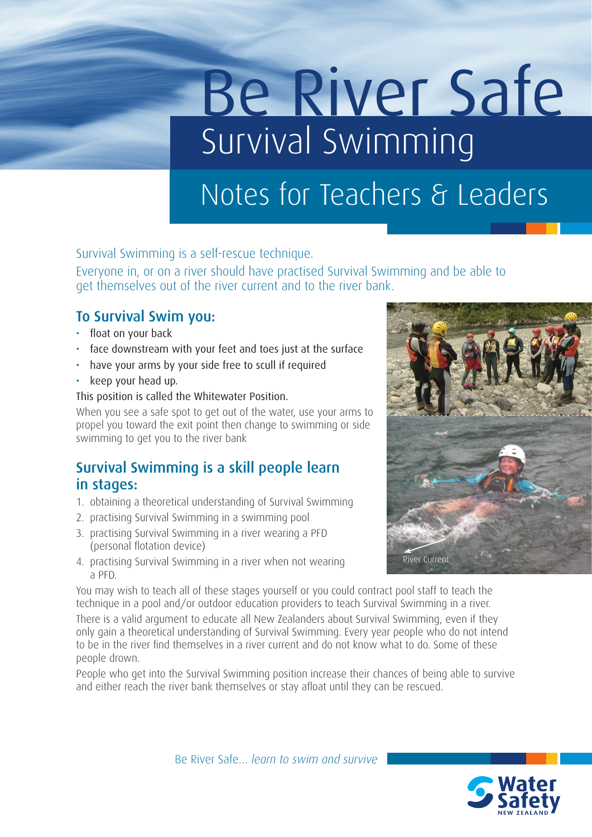# Be River Safe Survival Swimming

## Notes for Teachers & Leaders

Survival Swimming is a self-rescue technique.

Everyone in, or on a river should have practised Survival Swimming and be able to get themselves out of the river current and to the river bank.

#### To Survival Swim you:

- float on your back
- face downstream with your feet and toes just at the surface
- have your arms by your side free to scull if required
- keep your head up.

#### This position is called the Whitewater Position.

When you see a safe spot to get out of the water, use your arms to propel you toward the exit point then change to swimming or side swimming to get you to the river bank

#### Survival Swimming is a skill people learn in stages:

- 1. obtaining a theoretical understanding of Survival Swimming
- 2. practising Survival Swimming in a swimming pool
- 3. practising Survival Swimming in a river wearing a PFD (personal flotation device)
- 4. practising Survival Swimming in a river when not wearing a PFD.

You may wish to teach all of these stages yourself or you could contract pool staff to teach the technique in a pool and/or outdoor education providers to teach Survival Swimming in a river.

There is a valid argument to educate all New Zealanders about Survival Swimming, even if they only gain a theoretical understanding of Survival Swimming. Every year people who do not intend to be in the river find themselves in a river current and do not know what to do. Some of these people drown.

People who get into the Survival Swimming position increase their chances of being able to survive and either reach the river bank themselves or stay afloat until they can be rescued.